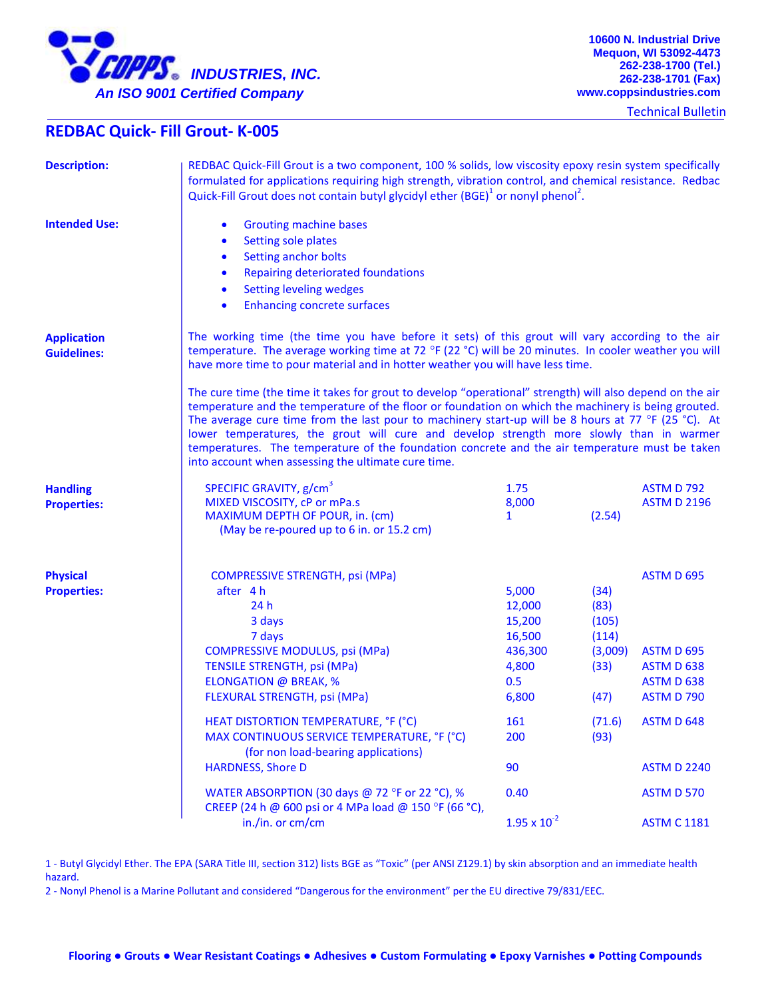

Technical Bulletin

## **REDBAC Quick- Fill Grout- K-005**

| <b>Description:</b>                      | REDBAC Quick-Fill Grout is a two component, 100 % solids, low viscosity epoxy resin system specifically<br>formulated for applications requiring high strength, vibration control, and chemical resistance. Redbac<br>Quick-Fill Grout does not contain butyl glycidyl ether $(BGE)^1$ or nonyl phenol <sup>2</sup> .                                                                                                                                                                                                                                                       |                                                                         |                                                           |                                                                                                |  |
|------------------------------------------|-----------------------------------------------------------------------------------------------------------------------------------------------------------------------------------------------------------------------------------------------------------------------------------------------------------------------------------------------------------------------------------------------------------------------------------------------------------------------------------------------------------------------------------------------------------------------------|-------------------------------------------------------------------------|-----------------------------------------------------------|------------------------------------------------------------------------------------------------|--|
| <b>Intended Use:</b>                     | <b>Grouting machine bases</b><br>$\bullet$<br><b>Setting sole plates</b><br>$\bullet$<br>Setting anchor bolts<br>$\bullet$<br>Repairing deteriorated foundations<br>$\bullet$<br><b>Setting leveling wedges</b><br>$\bullet$<br><b>Enhancing concrete surfaces</b><br>$\bullet$                                                                                                                                                                                                                                                                                             |                                                                         |                                                           |                                                                                                |  |
| <b>Application</b><br><b>Guidelines:</b> | The working time (the time you have before it sets) of this grout will vary according to the air<br>temperature. The average working time at 72 °F (22 °C) will be 20 minutes. In cooler weather you will<br>have more time to pour material and in hotter weather you will have less time.                                                                                                                                                                                                                                                                                 |                                                                         |                                                           |                                                                                                |  |
|                                          | The cure time (the time it takes for grout to develop "operational" strength) will also depend on the air<br>temperature and the temperature of the floor or foundation on which the machinery is being grouted.<br>The average cure time from the last pour to machinery start-up will be 8 hours at 77 °F (25 °C). At<br>lower temperatures, the grout will cure and develop strength more slowly than in warmer<br>temperatures. The temperature of the foundation concrete and the air temperature must be taken<br>into account when assessing the ultimate cure time. |                                                                         |                                                           |                                                                                                |  |
| <b>Handling</b><br><b>Properties:</b>    | SPECIFIC GRAVITY, g/cm <sup>3</sup><br>MIXED VISCOSITY, cP or mPa.s<br>MAXIMUM DEPTH OF POUR, in. (cm)<br>(May be re-poured up to 6 in. or 15.2 cm)                                                                                                                                                                                                                                                                                                                                                                                                                         | 1.75<br>8,000<br>$\mathbf{1}$                                           | (2.54)                                                    | <b>ASTM D 792</b><br><b>ASTM D 2196</b>                                                        |  |
| <b>Physical</b><br><b>Properties:</b>    | <b>COMPRESSIVE STRENGTH, psi (MPa)</b><br>after 4 h<br>24h<br>3 days<br>7 days<br><b>COMPRESSIVE MODULUS, psi (MPa)</b><br><b>TENSILE STRENGTH, psi (MPa)</b><br><b>ELONGATION @ BREAK, %</b><br>FLEXURAL STRENGTH, psi (MPa)                                                                                                                                                                                                                                                                                                                                               | 5,000<br>12,000<br>15,200<br>16,500<br>436,300<br>4,800<br>0.5<br>6,800 | (34)<br>(83)<br>(105)<br>(114)<br>(3,009)<br>(33)<br>(47) | <b>ASTM D 695</b><br>ASTM D 695<br><b>ASTM D 638</b><br><b>ASTM D 638</b><br><b>ASTM D 790</b> |  |
|                                          | HEAT DISTORTION TEMPERATURE, °F (°C)<br>MAX CONTINUOUS SERVICE TEMPERATURE, °F (°C)<br>(for non load-bearing applications)                                                                                                                                                                                                                                                                                                                                                                                                                                                  | 161<br>200                                                              | (71.6)<br>(93)                                            | ASTM D 648                                                                                     |  |
|                                          | <b>HARDNESS, Shore D</b>                                                                                                                                                                                                                                                                                                                                                                                                                                                                                                                                                    | 90                                                                      |                                                           | <b>ASTM D 2240</b>                                                                             |  |
|                                          | WATER ABSORPTION (30 days @ 72 °F or 22 °C), %<br>CREEP (24 h @ 600 psi or 4 MPa load @ 150 °F (66 °C),                                                                                                                                                                                                                                                                                                                                                                                                                                                                     | 0.40                                                                    |                                                           | <b>ASTM D 570</b>                                                                              |  |
|                                          | in./in. or cm/cm                                                                                                                                                                                                                                                                                                                                                                                                                                                                                                                                                            | $1.95 \times 10^{-2}$                                                   |                                                           | <b>ASTM C 1181</b>                                                                             |  |

1 - Butyl Glycidyl Ether. The EPA (SARA Title III, section 312) lists BGE as "Toxic" (per ANSI Z129.1) by skin absorption and an immediate health hazard.

2 - Nonyl Phenol is a Marine Pollutant and considered "Dangerous for the environment" per the EU directive 79/831/EEC.